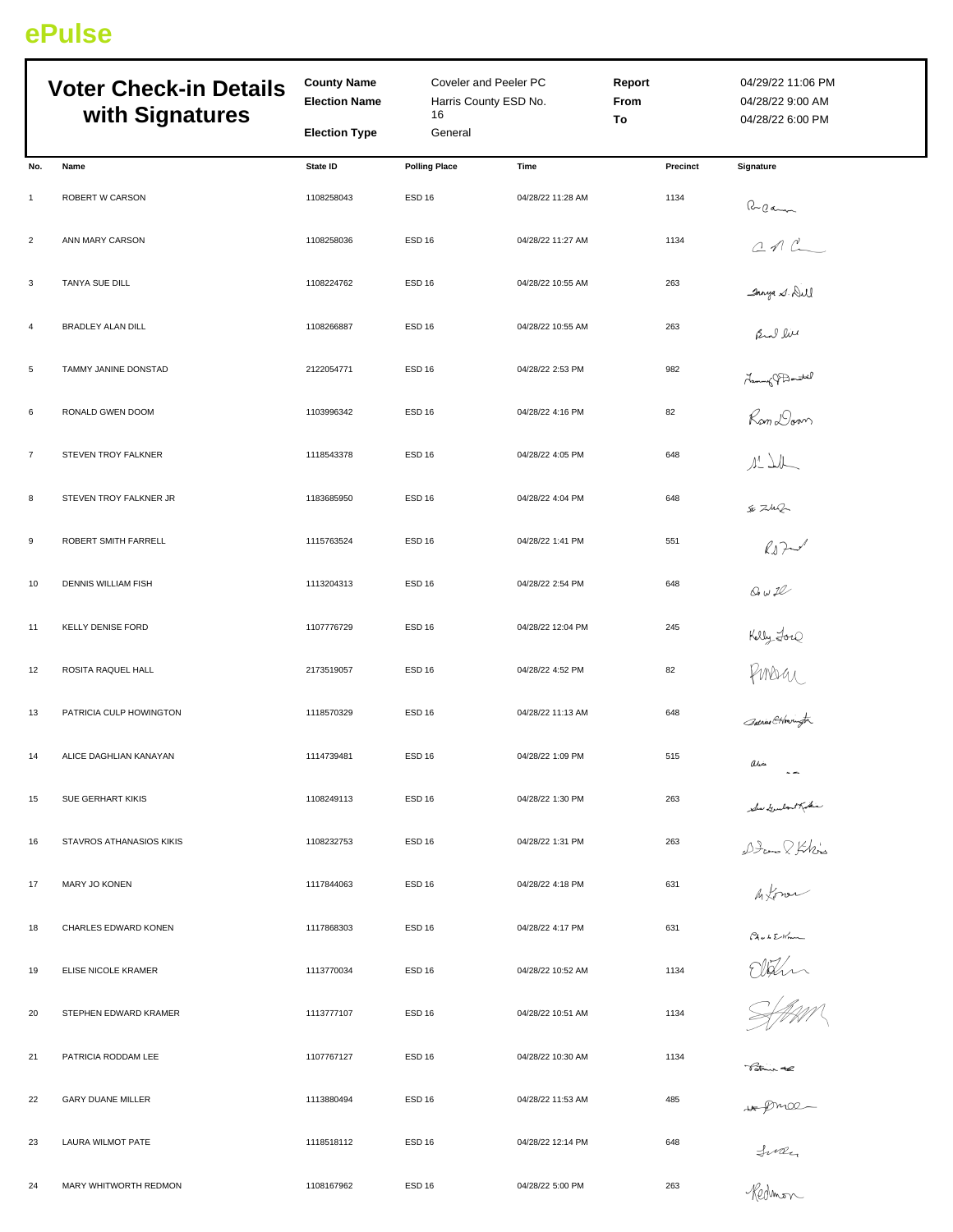## **ePulse**

| <b>Voter Check-in Details</b><br>with Signatures |                          | <b>County Name</b><br>Coveler and Peeler PC<br><b>Election Name</b><br>Harris County ESD No.<br>16<br><b>Election Type</b><br>General |                      |                   | Report<br><b>From</b><br>To | 04/29/22 11:06 PM<br>04/28/22 9:00 AM<br>04/28/22 6:00 PM |  |
|--------------------------------------------------|--------------------------|---------------------------------------------------------------------------------------------------------------------------------------|----------------------|-------------------|-----------------------------|-----------------------------------------------------------|--|
| No.                                              | Name                     | State ID                                                                                                                              | <b>Polling Place</b> | Time              | Precinct                    | Signature                                                 |  |
| $\mathbf{1}$                                     | ROBERT W CARSON          | 1108258043                                                                                                                            | ESD <sub>16</sub>    | 04/28/22 11:28 AM | 1134                        |                                                           |  |
| $\overline{2}$                                   | ANN MARY CARSON          | 1108258036                                                                                                                            | <b>ESD 16</b>        | 04/28/22 11:27 AM | 1134                        | Recommended                                               |  |
| 3                                                | TANYA SUE DILL           | 1108224762                                                                                                                            | ESD <sub>16</sub>    | 04/28/22 10:55 AM | 263                         | Janya S. Dill                                             |  |
| 4                                                | BRADLEY ALAN DILL        | 1108266887                                                                                                                            | ESD <sub>16</sub>    | 04/28/22 10:55 AM | 263                         | Rul live                                                  |  |
| 5                                                | TAMMY JANINE DONSTAD     | 2122054771                                                                                                                            | ESD <sub>16</sub>    | 04/28/22 2:53 PM  | 982                         |                                                           |  |
| 6                                                | RONALD GWEN DOOM         | 1103996342                                                                                                                            | ESD <sub>16</sub>    | 04/28/22 4:16 PM  | 82                          | Hammy Pamoul<br>Rom Doom<br>11 Jul                        |  |
| $\overline{7}$                                   | STEVEN TROY FALKNER      | 1118543378                                                                                                                            | ESD <sub>16</sub>    | 04/28/22 4:05 PM  | 648                         |                                                           |  |
| 8                                                | STEVEN TROY FALKNER JR   | 1183685950                                                                                                                            | ESD <sub>16</sub>    | 04/28/22 4:04 PM  | 648                         | SE ZUR                                                    |  |
| 9                                                | ROBERT SMITH FARRELL     | 1115763524                                                                                                                            | ESD <sub>16</sub>    | 04/28/22 1:41 PM  | 551                         | $k_{\text{F}}$                                            |  |
| 10                                               | DENNIS WILLIAM FISH      | 1113204313                                                                                                                            | ESD <sub>16</sub>    | 04/28/22 2:54 PM  | 648                         | $Q$ $w2$                                                  |  |
| 11                                               | <b>KELLY DENISE FORD</b> | 1107776729                                                                                                                            | ESD <sub>16</sub>    | 04/28/22 12:04 PM | 245                         |                                                           |  |
| 12                                               | ROSITA RAQUEL HALL       | 2173519057                                                                                                                            | ESD <sub>16</sub>    | 04/28/22 4:52 PM  | 82                          | Kelly Lore<br>PMDU<br>Sanier Chringte                     |  |
| 13                                               | PATRICIA CULP HOWINGTON  | 1118570329                                                                                                                            | ESD <sub>16</sub>    | 04/28/22 11:13 AM | 648                         |                                                           |  |
| 14                                               | ALICE DAGHLIAN KANAYAN   | 1114739481                                                                                                                            | ESD 16               | 04/28/22 1:09 PM  | 515                         | aria<br>$\sim$ $\sim$                                     |  |
| 15                                               | SUE GERHART KIKIS        | 1108249113                                                                                                                            | ESD <sub>16</sub>    | 04/28/22 1:30 PM  | 263                         |                                                           |  |
| 16                                               | STAVROS ATHANASIOS KIKIS | 1108232753                                                                                                                            | ESD <sub>16</sub>    | 04/28/22 1:31 PM  | 263                         | Sou Goutestham<br>Doom & John's<br>Informer               |  |
| 17                                               | <b>MARY JO KONEN</b>     | 1117844063                                                                                                                            | <b>ESD 16</b>        | 04/28/22 4:18 PM  | 631                         |                                                           |  |
| 18                                               | CHARLES EDWARD KONEN     | 1117868303                                                                                                                            | ESD <sub>16</sub>    | 04/28/22 4:17 PM  | 631                         | Chub Elm                                                  |  |
| 19                                               | ELISE NICOLE KRAMER      | 1113770034                                                                                                                            | ESD <sub>16</sub>    | 04/28/22 10:52 AM | 1134                        | Eldin<br>Staan                                            |  |
| 20                                               | STEPHEN EDWARD KRAMER    | 1113777107                                                                                                                            | ESD <sub>16</sub>    | 04/28/22 10:51 AM | 1134                        |                                                           |  |
| 21                                               | PATRICIA RODDAM LEE      | 1107767127                                                                                                                            | ESD <sub>16</sub>    | 04/28/22 10:30 AM | 1134                        | Tatrice the                                               |  |
| 22                                               | <b>GARY DUANE MILLER</b> | 1113880494                                                                                                                            | ESD <sub>16</sub>    | 04/28/22 11:53 AM | 485                         |                                                           |  |
| 23                                               | LAURA WILMOT PATE        | 1118518112                                                                                                                            | ESD <sub>16</sub>    | 04/28/22 12:14 PM | 648                         | w proce-<br>Suren                                         |  |
| 24                                               | MARY WHITWORTH REDMON    | 1108167962                                                                                                                            | ESD <sub>16</sub>    | 04/28/22 5:00 PM  | 263                         |                                                           |  |